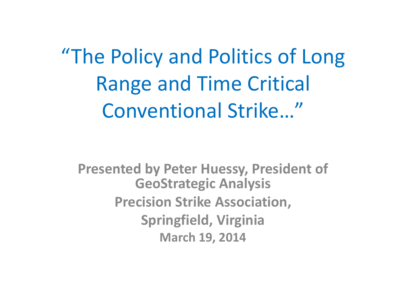"The Policy and Politics of Long Range and Time Critical Conventional Strike…"

**Presented by Peter Huessy, President of GeoStrategic Analysis Precision Strike Association, Springfield, Virginia March 19, 2014**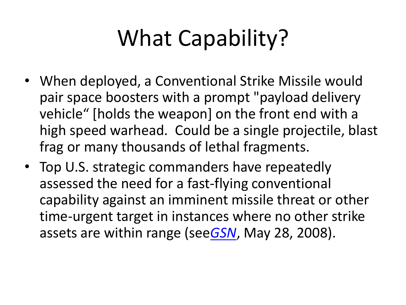## What Capability?

- When deployed, a Conventional Strike Missile would pair space boosters with a prompt "payload delivery vehicle" [holds the weapon] on the front end with a high speed warhead. Could be a single projectile, blast frag or many thousands of lethal fragments.
- Top U.S. strategic commanders have repeatedly assessed the need for a fast-flying conventional capability against an imminent missile threat or other time-urgent target in instances where no other strike assets are within range (see*[GSN](http://www.nti.org/gsn/article/a-former-nuclear-commander-not-wild-about-nukes/)*, May 28, 2008).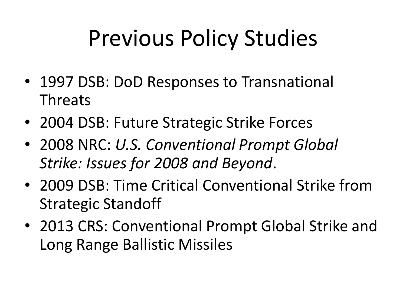## Previous Policy Studies

- 1997 DSB: DoD Responses to Transnational Threats
- 2004 DSB: Future Strategic Strike Forces
- 2008 NRC: *U.S. Conventional Prompt Global Strike: Issues for 2008 and Beyond*.
- 2009 DSB: Time Critical Conventional Strike from Strategic Standoff
- 2013 CRS: Conventional Prompt Global Strike and Long Range Ballistic Missiles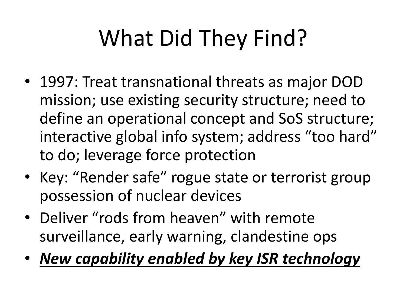# What Did They Find?

- 1997: Treat transnational threats as major DOD mission; use existing security structure; need to define an operational concept and SoS structure; interactive global info system; address "too hard" to do; leverage force protection
- Key: "Render safe" rogue state or terrorist group possession of nuclear devices
- Deliver "rods from heaven" with remote surveillance, early warning, clandestine ops
- *New capability enabled by key ISR technology*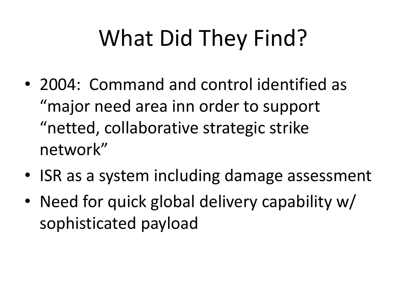## What Did They Find?

- 2004: Command and control identified as "major need area inn order to support "netted, collaborative strategic strike network"
- ISR as a system including damage assessment
- Need for quick global delivery capability w/ sophisticated payload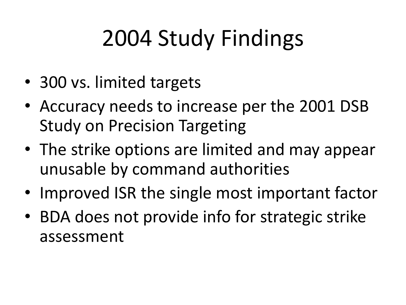# 2004 Study Findings

- 300 vs. limited targets
- Accuracy needs to increase per the 2001 DSB Study on Precision Targeting
- The strike options are limited and may appear unusable by command authorities
- Improved ISR the single most important factor
- BDA does not provide info for strategic strike assessment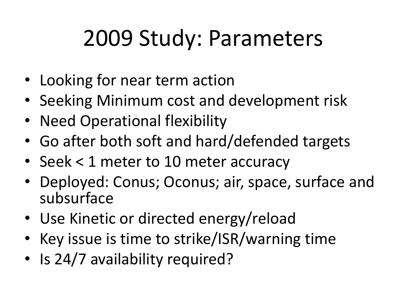## 2009 Study: Parameters

- Looking for near term action
- Seeking Minimum cost and development risk
- Need Operational flexibility
- Go after both soft and hard/defended targets
- Seek < 1 meter to 10 meter accuracy
- Deployed: Conus; Oconus; air, space, surface and subsurface
- Use Kinetic or directed energy/reload
- Key issue is time to strike/ISR/warning time
- Is 24/7 availability required?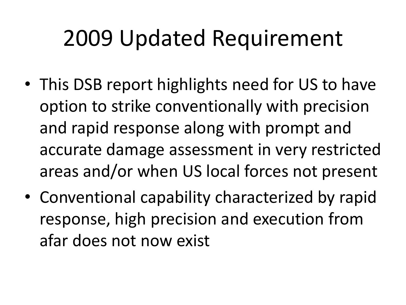### 2009 Updated Requirement

- This DSB report highlights need for US to have option to strike conventionally with precision and rapid response along with prompt and accurate damage assessment in very restricted areas and/or when US local forces not present
- Conventional capability characterized by rapid response, high precision and execution from afar does not now exist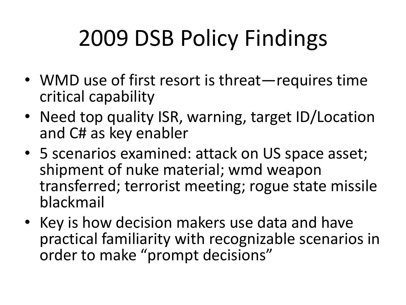# 2009 DSB Policy Findings

- WMD use of first resort is threat—requires time critical capability
- Need top quality ISR, warning, target ID/Location and C# as key enabler
- 5 scenarios examined: attack on US space asset; shipment of nuke material; wmd weapon transferred; terrorist meeting; rogue state missile blackmail
- Key is how decision makers use data and have practical familiarity with recognizable scenarios in order to make "prompt decisions"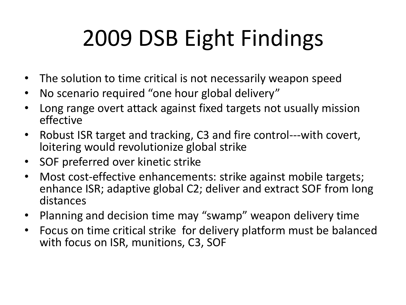# 2009 DSB Eight Findings

- The solution to time critical is not necessarily weapon speed
- No scenario required "one hour global delivery"
- Long range overt attack against fixed targets not usually mission effective
- Robust ISR target and tracking, C3 and fire control---with covert, loitering would revolutionize global strike
- SOF preferred over kinetic strike
- Most cost-effective enhancements: strike against mobile targets; enhance ISR; adaptive global C2; deliver and extract SOF from long distances
- Planning and decision time may "swamp" weapon delivery time
- Focus on time critical strike for delivery platform must be balanced with focus on ISR, munitions, C3, SOF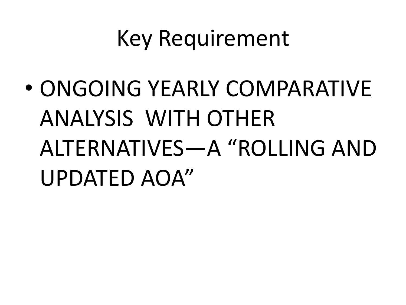#### Key Requirement

• ONGOING YEARLY COMPARATIVE ANALYSIS WITH OTHER ALTERNATIVES—A "ROLLING AND UPDATED AOA"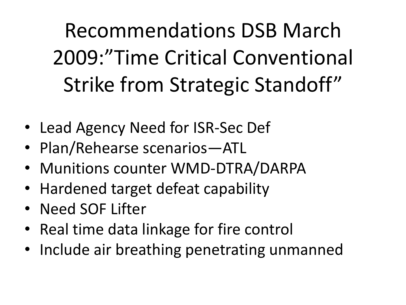Recommendations DSB March 2009:"Time Critical Conventional Strike from Strategic Standoff"

- Lead Agency Need for ISR-Sec Def
- Plan/Rehearse scenarios—ATL
- Munitions counter WMD-DTRA/DARPA
- Hardened target defeat capability
- Need SOF Lifter
- Real time data linkage for fire control
- Include air breathing penetrating unmanned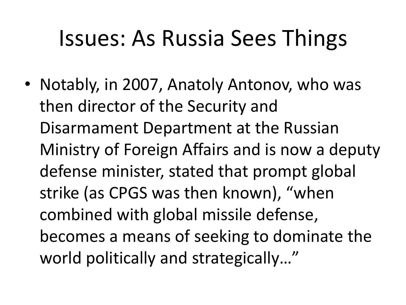#### Issues: As Russia Sees Things

• Notably, in 2007, Anatoly Antonov, who was then director of the Security and Disarmament Department at the Russian Ministry of Foreign Affairs and is now a deputy defense minister, stated that prompt global strike (as CPGS was then known), "when combined with global missile defense, becomes a means of seeking to dominate the world politically and strategically…"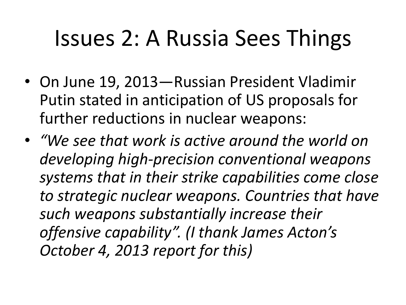#### Issues 2: A Russia Sees Things

- On June 19, 2013—Russian President Vladimir Putin stated in anticipation of US proposals for further reductions in nuclear weapons:
- *"We see that work is active around the world on developing high‐precision conventional weapons systems that in their strike capabilities come close to strategic nuclear weapons. Countries that have such weapons substantially increase their offensive capability". (I thank James Acton's October 4, 2013 report for this)*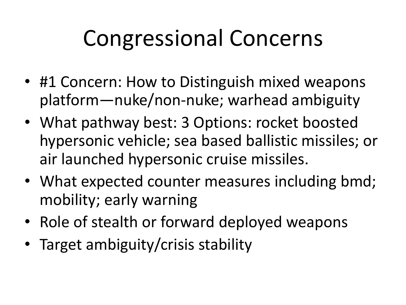## Congressional Concerns

- #1 Concern: How to Distinguish mixed weapons platform—nuke/non-nuke; warhead ambiguity
- What pathway best: 3 Options: rocket boosted hypersonic vehicle; sea based ballistic missiles; or air launched hypersonic cruise missiles.
- What expected counter measures including bmd; mobility; early warning
- Role of stealth or forward deployed weapons
- Target ambiguity/crisis stability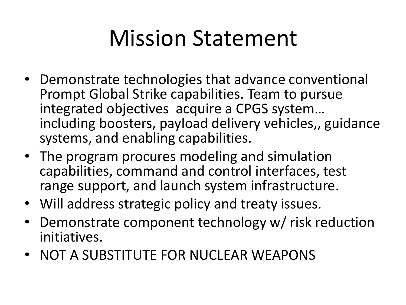## Mission Statement

- Demonstrate technologies that advance conventional Prompt Global Strike capabilities. Team to pursue integrated objectives acquire a CPGS system… including boosters, payload delivery vehicles,, guidance systems, and enabling capabilities.
- The program procures modeling and simulation capabilities, command and control interfaces, test range support, and launch system infrastructure.
- Will address strategic policy and treaty issues.
- Demonstrate component technology w/ risk reduction initiatives.
- NOT A SUBSTITUTE FOR NUCLEAR WEAPONS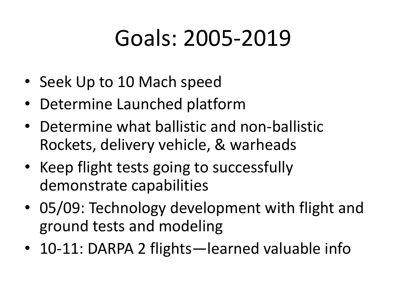## Goals: 2005-2019

- Seek Up to 10 Mach speed
- Determine Launched platform
- Determine what ballistic and non-ballistic Rockets, delivery vehicle, & warheads
- Keep flight tests going to successfully demonstrate capabilities
- 05/09: Technology development with flight and ground tests and modeling
- 10-11: DARPA 2 flights—learned valuable info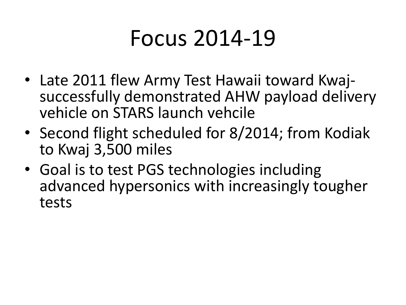#### Focus 2014-19

- Late 2011 flew Army Test Hawaii toward Kwajsuccessfully demonstrated AHW payload delivery vehicle on STARS launch vehcile
- Second flight scheduled for 8/2014; from Kodiak to Kwaj 3,500 miles
- Goal is to test PGS technologies including advanced hypersonics with increasingly tougher tests